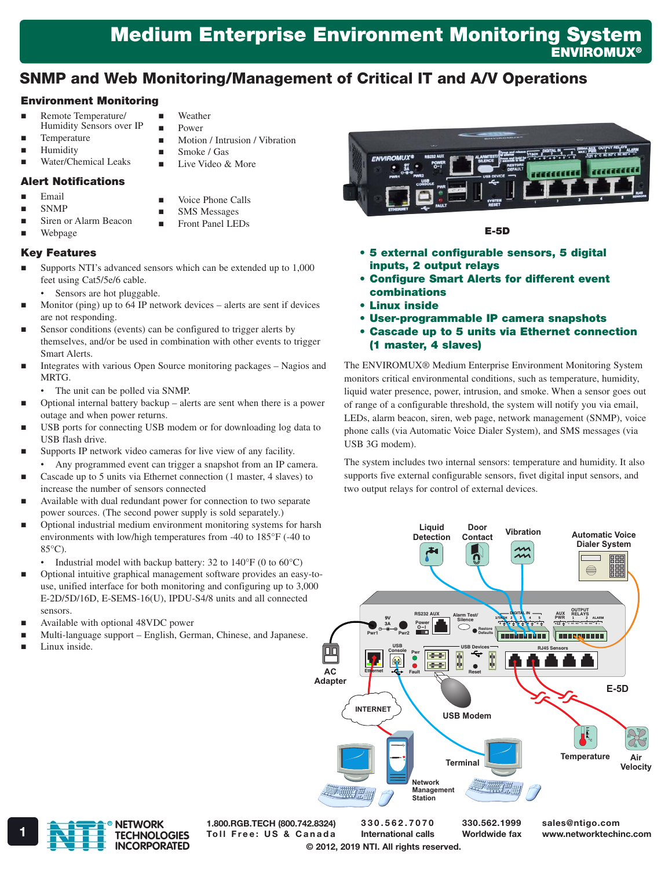# Medium Enterprise Environment Monitoring System **ENVIROMUX®**

## SNMP and Web Monitoring/Management of Critical IT and A/V Operations

### Environment Monitoring

- Remote Temperature/
	- Humidity Sensors over IP
- Temperature
- Humidity
- Water/Chemical Leaks

#### Alert Notifications

- Email
- SNMP
- Siren or Alarm Beacon
- Webpage

#### Key Features

 Supports NTI's advanced sensors which can be extended up to 1,000 feet using Cat5/5e/6 cable.

 Weather Power

 Smoke / Gas  $\blacksquare$  Live Video & More

> Voice Phone Calls SMS Messages Front Panel LEDs

Motion / Intrusion / Vibration

- Sensors are hot pluggable.
- Monitor (ping) up to 64 IP network devices alerts are sent if devices are not responding.
- Sensor conditions (events) can be configured to trigger alerts by themselves, and/or be used in combination with other events to trigger Smart Alerts.
- Integrates with various Open Source monitoring packages Nagios and MRTG.
	- The unit can be polled via SNMP.
- Optional internal battery backup alerts are sent when there is a power outage and when power returns.
- USB ports for connecting USB modem or for downloading log data to USB flash drive.
- Supports IP network video cameras for live view of any facility.
- Any programmed event can trigger a snapshot from an IP camera. Cascade up to 5 units via Ethernet connection (1 master, 4 slaves) to increase the number of sensors connected
- Available with dual redundant power for connection to two separate power sources. (The second power supply is sold separately.)
- Optional industrial medium environment monitoring systems for harsh environments with low/high temperatures from -40 to 185°F (-40 to 85°C).
	- Industrial model with backup battery: 32 to  $140^{\circ}$ F (0 to  $60^{\circ}$ C)
- Optional intuitive graphical management software provides an easy-touse, unified interface for both monitoring and configuring up to 3,000 E-2D/5D/16D, E-SEMS-16(U), IPDU-S4/8 units and all connected sensors.
- Available with optional 48VDC power
- Multi-language support English, German, Chinese, and Japanese.
- Linux inside.

E-5D

- • 5 external configurable sensors, 5 digital inputs, 2 output relays
- • Configure Smart Alerts for different event combinations
- • Linux inside
- • User-programmable IP camera snapshots
- • Cascade up to 5 units via Ethernet connection (1 master, 4 slaves)

The ENVIROMUX® Medium Enterprise Environment Monitoring System monitors critical environmental conditions, such as temperature, humidity, liquid water presence, power, intrusion, and smoke. When a sensor goes out of range of a configurable threshold, the system will notify you via email, LEDs, alarm beacon, siren, web page, network management (SNMP), voice phone calls (via Automatic Voice Dialer System), and SMS messages (via USB 3G modem).

The system includes two internal sensors: temperature and humidity. It also supports five external configurable sensors, fivet digital input sensors, and two output relays for control of external devices.





© 2012, 2019 NTI. All rights reserved. 1.800.RGB.TECH (800.742.8324) TOLL TOLL TOLL FREE TOLL FREE: US & Canada International calls Worldwide fax www.networktechinc.com

330.562.7070 International calls 330.562.1999 Worldwide fax

sales@ntigo.com

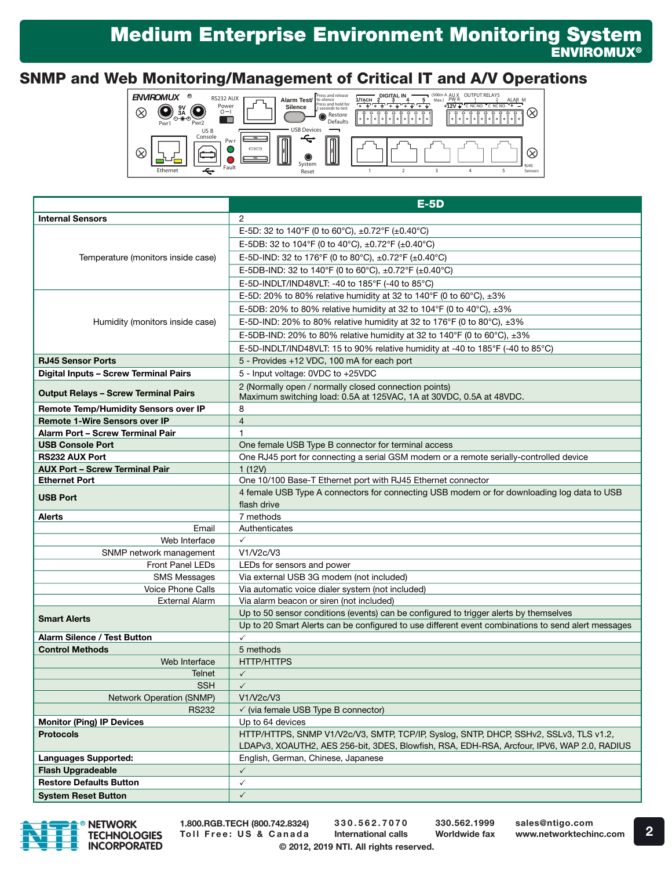# Medium Enterprise Environment Monitoring System **ENVIROMUX<sup>®</sup>**

## SNMP and Web Monitoring/Management of Critical IT and A/V Operations



|                                                                       | $E-5D$                                                                                                                       |
|-----------------------------------------------------------------------|------------------------------------------------------------------------------------------------------------------------------|
| <b>Internal Sensors</b>                                               | $\overline{2}$                                                                                                               |
| Temperature (monitors inside case)<br>Humidity (monitors inside case) | E-5D: 32 to 140°F (0 to 60°C), $\pm$ 0.72°F ( $\pm$ 0.40°C)                                                                  |
|                                                                       | E-5DB: 32 to 104°F (0 to 40°C), ±0.72°F (±0.40°C)                                                                            |
|                                                                       | E-5D-IND: 32 to 176°F (0 to 80°C), ±0.72°F (±0.40°C)                                                                         |
|                                                                       | E-5DB-IND: 32 to 140°F (0 to 60°C), ±0.72°F (±0.40°C)                                                                        |
|                                                                       | E-5D-INDLT/IND48VLT: -40 to 185°F (-40 to 85°C)                                                                              |
|                                                                       | E-5D: 20% to 80% relative humidity at 32 to 140°F (0 to 60°C), $\pm 3\%$                                                     |
|                                                                       | E-5DB: 20% to 80% relative humidity at 32 to 104°F (0 to 40°C), $\pm 3\%$                                                    |
|                                                                       | E-5D-IND: 20% to 80% relative humidity at 32 to 176°F (0 to 80°C), $\pm 3\%$                                                 |
|                                                                       |                                                                                                                              |
|                                                                       | E-5DB-IND: 20% to 80% relative humidity at 32 to 140°F (0 to 60°C), $\pm 3\%$                                                |
|                                                                       | E-5D-INDLT/IND48VLT: 15 to 90% relative humidity at -40 to 185°F (-40 to 85°C)                                               |
| <b>RJ45 Sensor Ports</b>                                              | 5 - Provides +12 VDC, 100 mA for each port                                                                                   |
| Digital Inputs - Screw Terminal Pairs                                 | 5 - Input voltage: 0VDC to +25VDC                                                                                            |
| <b>Output Relays - Screw Terminal Pairs</b>                           | 2 (Normally open / normally closed connection points)<br>Maximum switching load: 0.5A at 125VAC, 1A at 30VDC, 0.5A at 48VDC. |
| <b>Remote Temp/Humidity Sensors over IP</b>                           | 8                                                                                                                            |
| <b>Remote 1-Wire Sensors over IP</b>                                  | $\overline{4}$                                                                                                               |
| Alarm Port - Screw Terminal Pair                                      | 1                                                                                                                            |
| <b>USB Console Port</b>                                               | One female USB Type B connector for terminal access                                                                          |
| <b>RS232 AUX Port</b>                                                 | One RJ45 port for connecting a serial GSM modem or a remote serially-controlled device                                       |
| <b>AUX Port - Screw Terminal Pair</b>                                 | 1(12V)                                                                                                                       |
| <b>Ethernet Port</b>                                                  | One 10/100 Base-T Ethernet port with RJ45 Ethernet connector                                                                 |
| <b>USB Port</b>                                                       | 4 female USB Type A connectors for connecting USB modem or for downloading log data to USB<br>flash drive                    |
| <b>Alerts</b>                                                         | 7 methods                                                                                                                    |
| Email                                                                 | Authenticates                                                                                                                |
| Web Interface                                                         | $\checkmark$                                                                                                                 |
| SNMP network management                                               | V1/V2c/V3                                                                                                                    |
| <b>Front Panel LEDs</b>                                               | LEDs for sensors and power                                                                                                   |
| <b>SMS Messages</b>                                                   | Via external USB 3G modem (not included)                                                                                     |
| Voice Phone Calls                                                     | Via automatic voice dialer system (not included)                                                                             |
| <b>External Alarm</b>                                                 | Via alarm beacon or siren (not included)                                                                                     |
| <b>Smart Alerts</b>                                                   | Up to 50 sensor conditions (events) can be configured to trigger alerts by themselves                                        |
|                                                                       | Up to 20 Smart Alerts can be configured to use different event combinations to send alert messages                           |
| <b>Alarm Silence / Test Button</b>                                    | $\checkmark$                                                                                                                 |
| <b>Control Methods</b>                                                | 5 methods                                                                                                                    |
| Web Interface                                                         | <b>HTTP/HTTPS</b>                                                                                                            |
| Telnet<br><b>SSH</b>                                                  | $\checkmark$<br>$\checkmark$                                                                                                 |
| Network Operation (SNMP)                                              | V1/V2c/V3                                                                                                                    |
| <b>RS232</b>                                                          | $\checkmark$ (via female USB Type B connector)                                                                               |
| <b>Monitor (Ping) IP Devices</b>                                      | Up to 64 devices                                                                                                             |
| <b>Protocols</b>                                                      | HTTP/HTTPS, SNMP V1/V2c/V3, SMTP, TCP/IP, Syslog, SNTP, DHCP, SSHv2, SSLv3, TLS v1.2,                                        |
|                                                                       | LDAPv3, XOAUTH2, AES 256-bit, 3DES, Blowfish, RSA, EDH-RSA, Arcfour, IPV6, WAP 2.0, RADIUS                                   |
| <b>Languages Supported:</b>                                           | English, German, Chinese, Japanese                                                                                           |
| <b>Flash Upgradeable</b>                                              | $\checkmark$                                                                                                                 |
| <b>Restore Defaults Button</b>                                        | $\checkmark$                                                                                                                 |
| <b>System Reset Button</b>                                            | $\checkmark$                                                                                                                 |



1.800.RGB.TECH (800.742.8324) Toll Free: US & Canada

© 2012, 2019 NTI. All rights reserved. 330.562.7070 International calls

330.562.1999 Worldwide fax sales@ntigo.com www.networktechinc.com

2